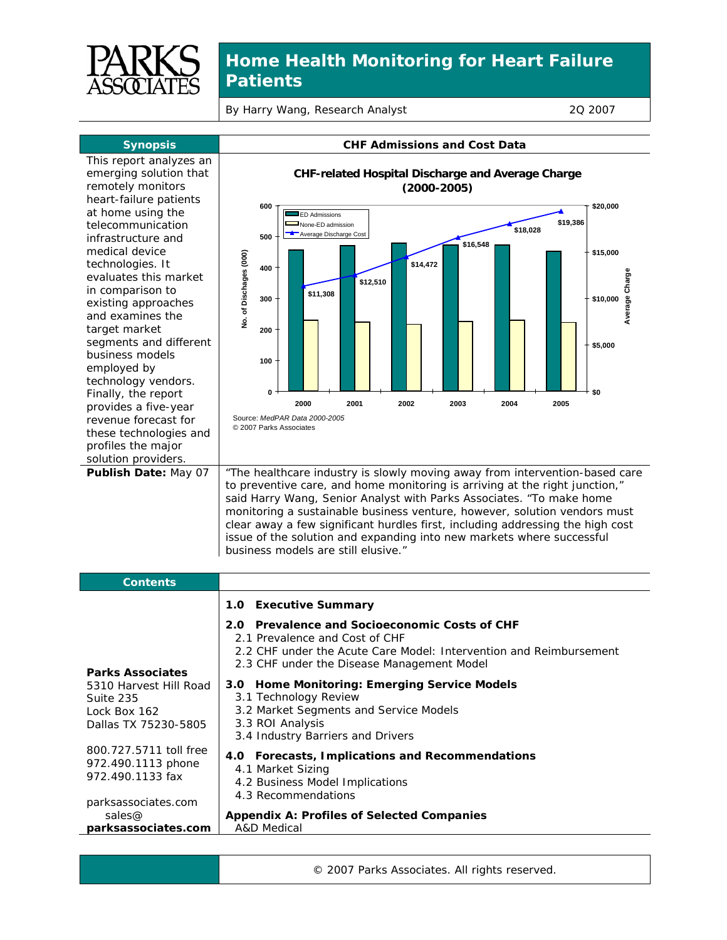

## **Home Health Monitoring for Heart Failure Patients**

By Harry Wang, Research Analyst 20 2007

| <b>Synopsis</b>                                                                                                                                                                                                                                                                                                                                                                                                                                                                                                                                                          | <b>CHF Admissions and Cost Data</b>                                                                                                                                                                                                                                                                                                                                                                                                                                                                                                                                                                                                                                                                                                                                                                                                                                                                                                                                                                 |
|--------------------------------------------------------------------------------------------------------------------------------------------------------------------------------------------------------------------------------------------------------------------------------------------------------------------------------------------------------------------------------------------------------------------------------------------------------------------------------------------------------------------------------------------------------------------------|-----------------------------------------------------------------------------------------------------------------------------------------------------------------------------------------------------------------------------------------------------------------------------------------------------------------------------------------------------------------------------------------------------------------------------------------------------------------------------------------------------------------------------------------------------------------------------------------------------------------------------------------------------------------------------------------------------------------------------------------------------------------------------------------------------------------------------------------------------------------------------------------------------------------------------------------------------------------------------------------------------|
| This report analyzes an<br>emerging solution that<br>remotely monitors<br>heart-failure patients<br>at home using the<br>telecommunication<br>infrastructure and<br>medical device<br>technologies. It<br>evaluates this market<br>in comparison to<br>existing approaches<br>and examines the<br>target market<br>segments and different<br>business models<br>employed by<br>technology vendors.<br>Finally, the report<br>provides a five-year<br>revenue forecast for<br>these technologies and<br>profiles the major<br>solution providers.<br>Publish Date: May 07 | CHF-related Hospital Discharge and Average Charge<br>$(2000-2005)$<br>\$20,000<br>600<br><b>ED</b> Admissions<br>\$19,386<br>None-ED admission<br>\$18,028<br>Average Discharge Cost<br>500<br>\$16,548<br>\$15,000<br>No. of Dischages (000)<br>\$14,472<br>400<br>Average Charge<br>\$12,510<br>\$11,308<br>\$10,000<br>300<br>200<br>\$5,000<br>100<br>0<br>\$0<br>2002<br>2003<br>2000<br>2001<br>2004<br>2005<br>Source: MedPAR Data 2000-2005<br>© 2007 Parks Associates<br>"The healthcare industry is slowly moving away from intervention-based care<br>to preventive care, and home monitoring is arriving at the right junction,"<br>said Harry Wang, Senior Analyst with Parks Associates. "To make home<br>monitoring a sustainable business venture, however, solution vendors must<br>clear away a few significant hurdles first, including addressing the high cost<br>issue of the solution and expanding into new markets where successful<br>business models are still elusive." |
| <b>Contents</b>                                                                                                                                                                                                                                                                                                                                                                                                                                                                                                                                                          |                                                                                                                                                                                                                                                                                                                                                                                                                                                                                                                                                                                                                                                                                                                                                                                                                                                                                                                                                                                                     |
| <b>Parks Associates</b><br>5310 Harvest Hill Road<br>Suite 235<br>Lock Box 162<br>Dallas TX 75230-5805<br>800.727.5711 toll free<br>972.490.1113 phone<br>972.490.1133 fax<br>parksassociates.com<br>sales@                                                                                                                                                                                                                                                                                                                                                              | 1.0<br><b>Executive Summary</b><br>Prevalence and Socioeconomic Costs of CHF<br>2.0<br>2.1 Prevalence and Cost of CHF<br>2.2 CHF under the Acute Care Model: Intervention and Reimbursement<br>2.3 CHF under the Disease Management Model<br>3.0 Home Monitoring: Emerging Service Models<br>3.1 Technology Review<br>3.2 Market Segments and Service Models<br>3.3 ROI Analysis<br>3.4 Industry Barriers and Drivers<br>4.0 Forecasts, Implications and Recommendations<br>4.1 Market Sizing<br>4.2 Business Model Implications<br>4.3 Recommendations<br><b>Appendix A: Profiles of Selected Companies</b>                                                                                                                                                                                                                                                                                                                                                                                        |
| parksassociates.com                                                                                                                                                                                                                                                                                                                                                                                                                                                                                                                                                      | A&D Medical                                                                                                                                                                                                                                                                                                                                                                                                                                                                                                                                                                                                                                                                                                                                                                                                                                                                                                                                                                                         |

© 2007 Parks Associates. All rights reserved.